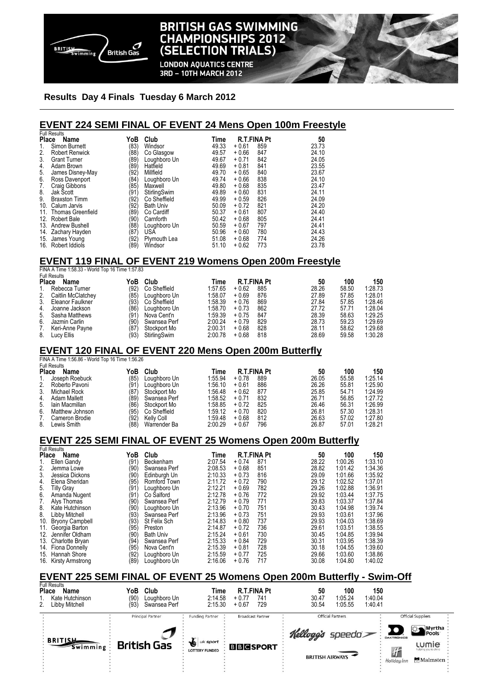

# **BRITISH GAS SWIMMING CHAMPIONSHIPS 2012** (SELECTION TRIALS)

**LONDON AQUATICS CENTRE** 3RD - 10TH MARCH 2012

#### **Results Day 4 Finals Tuesday 6 March 2012**

### **EVENT 224 SEMI FINAL OF EVENT 24 Mens Open 100m Freestyle**

|              | <b>Full Results</b>                                            |      |                   |             |                    |       |       |         |
|--------------|----------------------------------------------------------------|------|-------------------|-------------|--------------------|-------|-------|---------|
| <b>Place</b> | Name                                                           | YoB  | Club              | Time        | <b>R.T.FINA Pt</b> | 50    |       |         |
| 1.           | Simon Burnett                                                  | (83) | Windsor           | 49.33       | 859<br>$+0.61$     | 23.73 |       |         |
| 2.           | <b>Robert Renwick</b>                                          | (88) | Co Glasgow        | 49.57       | $+0.66$<br>847     | 24.10 |       |         |
| 3.           | <b>Grant Turner</b>                                            | (89) | Loughboro Un      | 49.67       | 842<br>$+0.71$     | 24.05 |       |         |
| 4.           | Adam Brown                                                     | (89) | Hatfield          | 49.69       | $+0.81$<br>841     | 23.55 |       |         |
| 5.           | James Disney-May                                               | (92) | Millfield         | 49.70       | $+0.65$<br>840     | 23.67 |       |         |
| 6.           | Ross Davenport                                                 | (84) | Loughboro Un      | 49.74       | $+0.66$<br>838     | 24.10 |       |         |
| 7.           | <b>Craig Gibbons</b>                                           | (85) | Maxwell           | 49.80       | $+0.68$<br>835     | 23.47 |       |         |
| 8.           | Jak Scott                                                      | (91) | StirlingSwim      | 49.89       | 831<br>$+0.60$     | 24.11 |       |         |
| 9.           | <b>Braxston Timm</b>                                           | (92) | Co Sheffield      | 49.99       | 826<br>$+0.59$     | 24.09 |       |         |
|              | 10. Calum Jarvis                                               | (92) | <b>Bath Univ</b>  | 50.09       | 821<br>$+0.72$     | 24.20 |       |         |
|              | 11. Thomas Greenfield                                          | (89) | Co Cardiff        | 50.37       | 807<br>$+0.61$     | 24.40 |       |         |
|              | 12. Robert Bale                                                | (90) | Carnforth         | 50.42       | 805<br>$+0.68$     | 24.41 |       |         |
|              | 13. Andrew Bushell                                             | (88) | Loughboro Un      | 50.59       | $+0.67$<br>797     | 24.41 |       |         |
|              | 14. Zachary Hayden                                             | (87) | <b>USA</b>        | 50.96       | 780<br>$+0.60$     | 24.43 |       |         |
|              | 15. James Young                                                | (92) | Plymouth Lea      | 51.08       | $+0.68$<br>774     | 24.26 |       |         |
|              | 16. Robert Iddiols                                             | (89) | Windsor           | 51.10       | 773<br>$+0.62$     | 23.78 |       |         |
|              |                                                                |      |                   |             |                    |       |       |         |
|              | <b>EVENT 119 FINAL OF EVENT 219 Womens Open 200m Freestyle</b> |      |                   |             |                    |       |       |         |
|              | FINA A Time 1:58.33 - World Top 16 Time 1:57.83                |      |                   |             |                    |       |       |         |
|              | <b>Full Results</b>                                            |      |                   |             |                    |       |       |         |
|              | Place Name                                                     | YoB  | Club              | Time        | <b>R.T.FINA Pt</b> | 50    | 100   | 150     |
| 1.           | Rebecca Turner                                                 | (92) | Co Sheffield      | 1:57.65     | $+0.62$<br>885     | 28.26 | 58.50 | 1:28.73 |
| 2.           | Caitlin McClatchey                                             | (85) | Loughboro Un      | 1:58.07     | 876<br>$+0.69$     | 27.89 | 57.85 | 1:28.01 |
| 3.           | Eleanor Faulkner                                               | (93) | Co Sheffield      | 1:58.39     | $+0.76$<br>869     | 27.84 | 57.85 | 1:28.46 |
| 4.           | Joanne Jackson                                                 | (86) | Loughboro Un      | 1:58.70     | 862<br>$+0.73$     | 27.72 | 57.71 | 1:28.04 |
| 5.           | Sasha Matthews                                                 | (91) | Nova Cent'n       | 1:59.39     | 847<br>$+0.75$     | 28.39 | 58.63 | 1:29.25 |
| 6.           | Jazmin Carlin                                                  | (90) | Swansea Perf      | 2:00.24     | $+0.79$<br>829     | 28.73 | 59.23 | 1:29.69 |
| 7.           | Keri-Anne Payne                                                | (87) | Stockport Mo      | 2:00.31     | 828<br>$+0.68$     | 28.11 | 58.62 | 1:29.68 |
| 8.           | Lucy Ellis                                                     | (93) | StirlingSwim      | 2:00.78     | $+0.68$<br>818     | 28.69 | 59.58 | 1:30.28 |
|              | <b>EVENT 120 FINAL OF EVENT 220 Mens Open 200m Butterfly</b>   |      |                   |             |                    |       |       |         |
|              | FINA A Time 1:56.86 - World Top 16 Time 1:56.26                |      |                   |             |                    |       |       |         |
|              | <b>Full Results</b>                                            |      |                   |             |                    |       |       |         |
| Place        | Name                                                           | YoB  | Club              | <b>Time</b> | <b>R.T.FINA Pt</b> | 50    | 100   | 150     |
| 1.           | Joseph Roebuck                                                 | (85) | Loughboro Un      | 1:55.94     | $+0.78$<br>889     | 26.05 | 55.58 | 1:25.14 |
| 2.           | Roberto Pavoni                                                 | (91) | Loughboro Un      | 1:56.10     | $+0.61$<br>886     | 26.26 | 55.81 | 1:25.90 |
| 3.           | Michael Rock                                                   | (87) | Stockport Mo      | 1:56.48     | $+0.62$<br>877     | 25.85 | 54.71 | 1:24.99 |
| 4.           | Adam Mallett                                                   | (89) | Swansea Perf      | 1:58.52     | $+0.71$<br>832     | 26.71 | 56.85 | 1:27.72 |
| 5.           | lain Macmillan                                                 | (86) | Stockport Mo      | 1:58.85     | 825<br>$+0.72$     | 26.46 | 56.31 | 1:26.99 |
| 6.           | Matthew Johnson                                                | (95) | Co Sheffield      | 1:59.12     | $+0.70$<br>820     | 26.81 | 57.30 | 1:28.31 |
| 7.           | Cameron Brodie                                                 | (92) | <b>Kelly Coll</b> | 1:59.48     | 812<br>$+0.68$     | 26.63 | 57.02 | 1:27.80 |
| 8.           | Lewis Smith                                                    | (88) | Warrender Ba      | 2:00.29     | 796<br>$+0.67$     | 26.87 | 57.01 | 1:28.21 |
|              |                                                                |      |                   |             |                    |       |       |         |

#### **EVENT 225 SEMI FINAL OF EVENT 25 Womens Open 200m Butterfly**  Full Results

| Place<br>Name |                        | YoB<br>Club |                  | Time    | <b>R.T.FINA Pt</b> |     |       | 100     | 150     |
|---------------|------------------------|-------------|------------------|---------|--------------------|-----|-------|---------|---------|
| 1.            | Ellen Gandy            | (91)        | Beckenham        | 2:07.54 | $+0.74$            | 871 | 28.22 | 1:00.26 | 1:33.10 |
| 2.            | Jemma Lowe             | (90)        | Swansea Perf     | 2:08.53 | $+0.68$            | 851 | 28.82 | 1:01.42 | 1:34.36 |
| 3.            | Jessica Dickons        | (90)        | Edinburgh Un     | 2:10.33 | $+0.73$            | 816 | 29.09 | 1:01.66 | 1:35.92 |
| 4.            | Elena Sheridan         | (95)        | Romford Town     | 2:11.72 | $+0.72$            | 790 | 29.12 | 1:02.52 | 1:37.01 |
| 5.            | <b>Tilly Gray</b>      | (91         | Loughboro Un     | 2:12.21 | $+0.69$            | 782 | 29.26 | 1:02.88 | 1:36.91 |
| 6.            | Amanda Nugent          | (91         | Co Salford       | 2:12.78 | $+0.76$            | 772 | 29.92 | 1:03.44 | 1:37.75 |
| 7.            | Alvs Thomas            | (90)        | Swansea Perf     | 2:12.79 | $+0.79$            | 771 | 29.83 | 1:03.37 | 1:37.84 |
| 8.            | Kate Hutchinson        | (90)        | Loughboro Un     | 2:13.96 | $+0.70$            | 751 | 30.43 | 1:04.98 | 1:39.74 |
| 8.            | Libby Mitchell         | (93)        | Swansea Perf     | 2:13.96 | $+0.73$            | 751 | 29.93 | 1:03.61 | 1:37.96 |
| 10.           | <b>Bryony Campbell</b> | (93)        | St Felix Sch     | 2:14.83 | $+0.80$            | 737 | 29.93 | 1:04.03 | 1:38.69 |
| 11.           | Georgia Barton         | (95)        | Preston          | 2:14.87 | $+0.72$            | 736 | 29.61 | 1:03.51 | 1:38.55 |
| 12.           | Jennifer Oldham        | (90)        | <b>Bath Univ</b> | 2:15.24 | $+0.61$            | 730 | 30.45 | 1:04.85 | 1:39.94 |
| 13.           | Charlotte Bryan        | (94)        | Swansea Perf     | 2:15.33 | $+0.84$            | 729 | 30.31 | 1:03.95 | 1:38.39 |
|               | 14. Fiona Donnelly     | (95)        | Nova Cent'n      | 2:15.39 | $+0.81$            | 728 | 30.18 | 1:04.55 | 1:39.60 |
| 15.           | Hannah Shore           | (92)        | Loughboro Un     | 2:15.59 | $+0.77$            | 725 | 29.66 | 1:03.60 | 1:38.86 |
|               | 16. Kirsty Armstrong   | (89)        | Loughboro Un     | 2:16.06 | $+0.76$            | 717 | 30.08 | 1:04.80 | 1:40.02 |

### **EVENT 225 SEMI FINAL OF EVENT 25 Womens Open 200m Butterfly - Swim-Off**

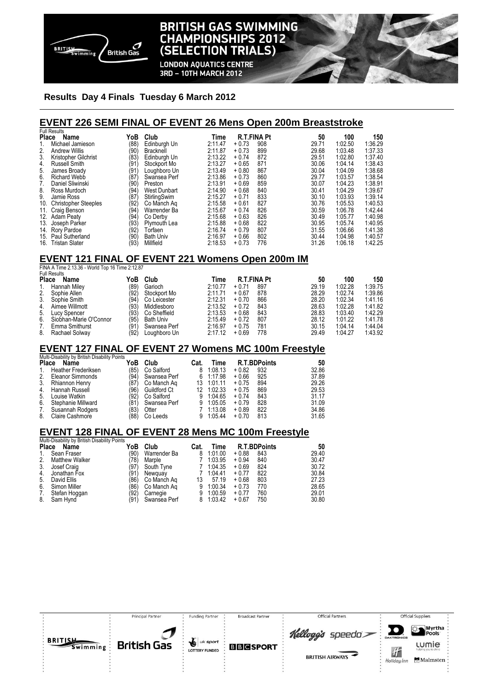

# **BRITISH GAS SWIMMING CHAMPIONSHIPS 2012** (SELECTION TRIALS)

**LONDON AQUATICS CENTRE** 3RD - 10TH MARCH 2012

#### **Results Day 4 Finals Tuesday 6 March 2012**

#### **EVENT 226 SEMI FINAL OF EVENT 26 Mens Open 200m Breaststroke**

| <b>Full Results</b>                                                  |              |                            |                              |                    |                     |                |         |         |
|----------------------------------------------------------------------|--------------|----------------------------|------------------------------|--------------------|---------------------|----------------|---------|---------|
| Place<br>Name                                                        | YoB          | Club                       | Time                         |                    | <b>R.T.FINA Pt</b>  | 50             | 100     | 150     |
| $\mathbf{1}$<br>Michael Jamieson                                     | (88)         | Edinburgh Un               | 2:11.47                      | $+0.73$            | 908                 | 29.71          | 1:02.50 | 1:36.29 |
| $\overline{2}$ .<br><b>Andrew Willis</b>                             | (90)         | Bracknell                  | 2:11.87                      | $+0.73$            | 899                 | 29.68          | 1:03.48 | 1:37.33 |
| 3.<br>Kristopher Gilchrist                                           | (83)         | Edinburgh Un               | 2:13.22                      | $+0.74$            | 872                 | 29.51          | 1:02.80 | 1:37.40 |
| 4.<br><b>Russell Smith</b>                                           | (91)         | Stockport Mo               | 2:13.27                      | $+0.65$            | 871                 | 30.06          | 1:04.14 | 1:38.43 |
| 5.<br>James Broady                                                   | (91)         | Loughboro Un               | 2:13.49                      | $+0.80$            | 867                 | 30.04          | 1:04.09 | 1:38.68 |
| 6.<br><b>Richard Webb</b>                                            | (87'         | Swansea Perf               | 2:13.86                      | $+0.73$            | 860                 | 29.77          | 1:03.57 | 1:38.54 |
| 7.<br>Daniel Sliwinski                                               | (90)         | Preston                    | 2:13.91                      | $+0.69$            | 859                 | 30.07          | 1:04.23 | 1:38.91 |
| 8.<br>Ross Murdoch                                                   | (94)         | West Dunbart               | 2:14.90                      | $+0.68$            | 840                 | 30.41          | 1:04.29 | 1:39.67 |
| 9.<br>Jamie Ross                                                     | (87)         | StirlingSwim               | 2:15.27                      | $+0.71$            | 833                 | 30.10          | 1:03.93 | 1:39.14 |
| 10. Christopher Steeples                                             | (92)         | Co Manch Ag                | 2:15.58                      | $+0.61$            | 827                 | 30.76          | 1:05.53 | 1:40.53 |
| 11. Craig Benson                                                     | (94)         | Warrender Ba               | 2:15.67                      | $+0.74$            | 826                 | 30.59          | 1:06.78 | 1:42.44 |
| 12. Adam Peaty                                                       | (94)         | Co Derby                   | 2:15.68                      | $+0.63$            | 826                 | 30.49          | 1:05.77 | 1:40.98 |
| 13. Joseph Parker                                                    | (93)         | Plymouth Lea               | 2:15.88                      | $+0.68$            | 822                 | 30.95          | 1:05.74 | 1:40.95 |
| 14. Rory Pardoe                                                      | (92)         | Torfaen                    | 2:16.74                      | $+0.79$            | 807                 | 31.55          | 1:06.66 | 1:41.38 |
| 15. Paul Sutherland                                                  | (90)         | <b>Bath Univ</b>           | 2:16.97                      | $+0.66$            | 802                 | 30.44          | 1:04.98 | 1:40.57 |
| 16. Tristan Slater                                                   | (93)         | Millfield                  | 2:18.53                      | $+0.73$            | 776                 | 31.26          | 1:06.18 | 1:42.25 |
|                                                                      |              |                            |                              |                    |                     |                |         |         |
| EVENT 121 FINAL OF EVENT 221 Womens Open 200m IM                     |              |                            |                              |                    |                     |                |         |         |
| FINA A Time 2.13.36 - World Top 16 Time 2:12.87                      |              |                            |                              |                    |                     |                |         |         |
| <b>Full Results</b>                                                  |              |                            |                              |                    |                     |                |         |         |
| Place Name                                                           | YoB          | Club                       | Time                         |                    | <b>R.T.FINA Pt</b>  | 50             | 100     | 150     |
| 1.<br>Hannah Miley                                                   | (89)         | Garioch                    | 2:10.77                      | $+0.71$            | 897                 | 29.19          | 1:02.28 | 1:39.75 |
| 2.<br>Sophie Allen                                                   | (92)         | Stockport Mo               | 2:11.71                      | $+0.67$            | 878                 | 28.29          | 1:02.74 | 1:39.86 |
| 3.<br>Sophie Smith                                                   | (94)         | Co Leicester               | 2:12.31                      | $+0.70$            | 866                 | 28.20          | 1:02.34 | 1:41.16 |
| 4.<br>Aimee Willmott                                                 | (93)         | Middlesboro                | 2:13.52                      | $+0.72$            | 843                 | 28.63          | 1:02.28 | 1:41.82 |
| 5.<br>Lucy Spencer                                                   | (93)         | Co Sheffield               | 2:13.53                      | $+0.68$            | 843                 | 28.83          | 1:03.40 | 1:42.29 |
| 6.<br>Siobhan-Marie O'Connor                                         |              |                            |                              |                    |                     |                |         | 1:41.78 |
|                                                                      | (95)         | <b>Bath Univ</b>           | 2:15.49                      | $+0.72$            | 807                 | 28.12          | 1:01.22 |         |
| 7.<br>Emma Smithurst                                                 | (91)         | Swansea Perf               | 2:16.97                      | $+0.75$            | 781                 | 30.15          | 1:04.14 | 1:44.04 |
| 8.<br>Rachael Solway                                                 | (92)         | Loughboro Un               | 2:17.12                      | $+0.69$            | 778                 | 29.49          | 1:04.27 | 1:43.92 |
|                                                                      |              |                            |                              |                    |                     |                |         |         |
| <b>EVENT 127 FINAL OF EVENT 27 Womens MC 100m Freestyle</b>          |              |                            |                              |                    |                     |                |         |         |
| Multi-Disability by British Disability Points                        |              |                            |                              |                    |                     |                |         |         |
| <b>Place</b><br>Name                                                 | YoB          | Club                       | <b>Time</b><br>Cat.          |                    | <b>R.T.BDPoints</b> | 50             |         |         |
| $\mathbf{1}$<br><b>Heather Frederiksen</b><br>2.<br>Eleanor Simmonds | (85)<br>(94) | Co Salford<br>Swansea Perf | 1:08.13<br>8<br>6<br>1:17.98 | $+0.82$<br>$+0.66$ | 932<br>925          | 32.86<br>37.89 |         |         |

3. Rhiannon Henry (87) Co Manch Aq 13 1:01.11 + 0.75 894 29.26 4. Hannah Russell (96) Guildford Ct 12 1:02.33 + 0.75 869 29.53 5. Louise Watkin (92) Co Salford 9 1:04.65 + 0.74 843 31.17<br>
6. Stephanie Millward (81) Swansea Perf 9 1:05.05 + 0.79 828 31.09<br>
7. Susannah Rodgers (83) Otter 7 1:13.08 + 0.89 822 34.86 Stephanie Millward (81) Swansea Perf 9 1:05.05 + 0.79<br>Susannah Rodgers (83) Otter 7 1:13.08 + 0.89 7. Susannah Rodgers (83) Otter 7 1:13.08 + 0.89 822 34.86<br>8. Claire Cashmore (88) Co Leeds 9 1:05.44 + 0.70 813 31.65 Claire Cashmore

#### **EVENT 128 FINAL OF EVENT 28 Mens MC 100m Freestyle**

|       | Multi-Disability by British Disability Points |      |              |      |         |                     |     |       |
|-------|-----------------------------------------------|------|--------------|------|---------|---------------------|-----|-------|
| Place | Name                                          | YoB  | Club         | Cat. | Time    | <b>R.T.BDPoints</b> |     | 50    |
| 1.    | Sean Fraser                                   | (90) | Warrender Ba | 8    | 1:01.00 | $+0.88$             | 843 | 29.40 |
| 2.    | <b>Matthew Walker</b>                         | (78) | Marple       |      | 1:03.95 | $+0.94$             | 840 | 30.47 |
| 3.    | Josef Craig                                   | (97) | South Tyne   |      | 1:04.35 | $+0.69$             | 824 | 30.72 |
| 4.    | Jonathan Fox                                  | (91) | Newguay      |      | 1:04.41 | $+0.77$             | 822 | 30.84 |
| 5.    | David Ellis                                   | (86) | Co Manch Ag  | 13   | 57.19   | $+0.68$             | 803 | 27.23 |
| 6.    | Simon Miller                                  | (86) | Co Manch Ag  | 9    | 1:00.34 | $+0.73$             | 770 | 28.65 |
| 7.    | Stefan Hoggan                                 | (92) | Carnegie     | 9    | 1:00.59 | $+0.77$             | 760 | 29.01 |
| 8.    | Sam Hynd                                      | (91) | Swansea Perf | 8    | 1:03.42 | $+0.67$             | 750 | 30.80 |